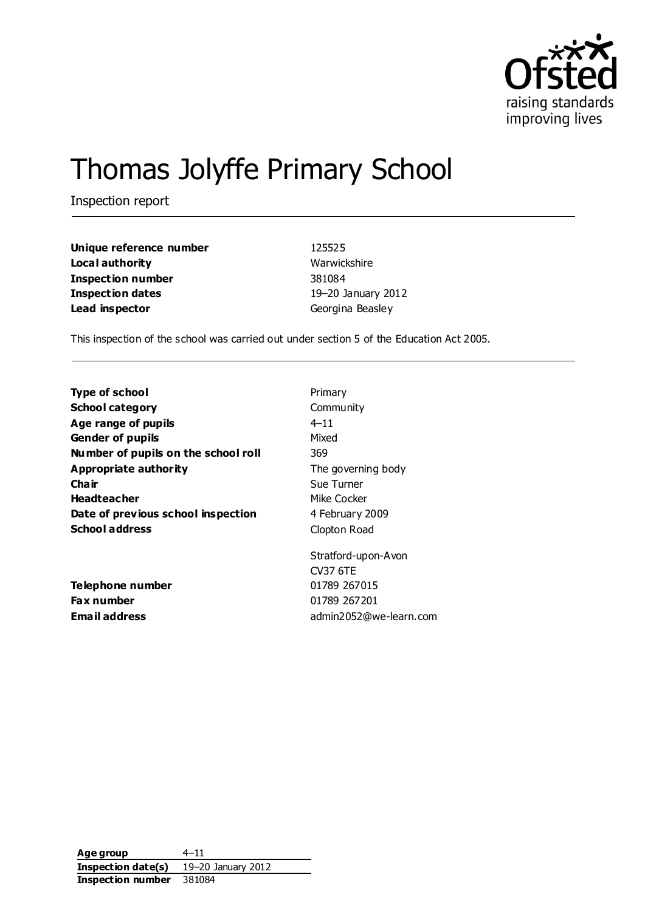

# Thomas Jolyffe Primary School

Inspection report

| Unique reference number  | 125525           |
|--------------------------|------------------|
| Local authority          | Warwickshire     |
| <b>Inspection number</b> | 381084           |
| Inspection dates         | 19-20 January 20 |
| Lead inspector           | Georgina Beasley |

**Unique reference number** 125525 **Warwickshire Inspection number** 381084 **Inspection dates** 19–20 January 2012

This inspection of the school was carried out under section 5 of the Education Act 2005.

| <b>Type of school</b>               | Primary                |
|-------------------------------------|------------------------|
| <b>School category</b>              | Community              |
| Age range of pupils                 | $4 - 11$               |
| <b>Gender of pupils</b>             | Mixed                  |
| Number of pupils on the school roll | 369                    |
| Appropriate authority               | The governing body     |
| Cha ir                              | Sue Turner             |
| <b>Headteacher</b>                  | Mike Cocker            |
| Date of previous school inspection  | 4 February 2009        |
| <b>School address</b>               | Clopton Road           |
|                                     | Stratford-upon-Avon    |
|                                     | <b>CV37 6TE</b>        |
| Telephone number                    | 01789 267015           |
| Fax number                          | 01789 267201           |
| <b>Email address</b>                | admin2052@we-learn.com |

Age group  $4-11$ **Inspection date(s)** 19–20 January 2012 **Inspection number** 381084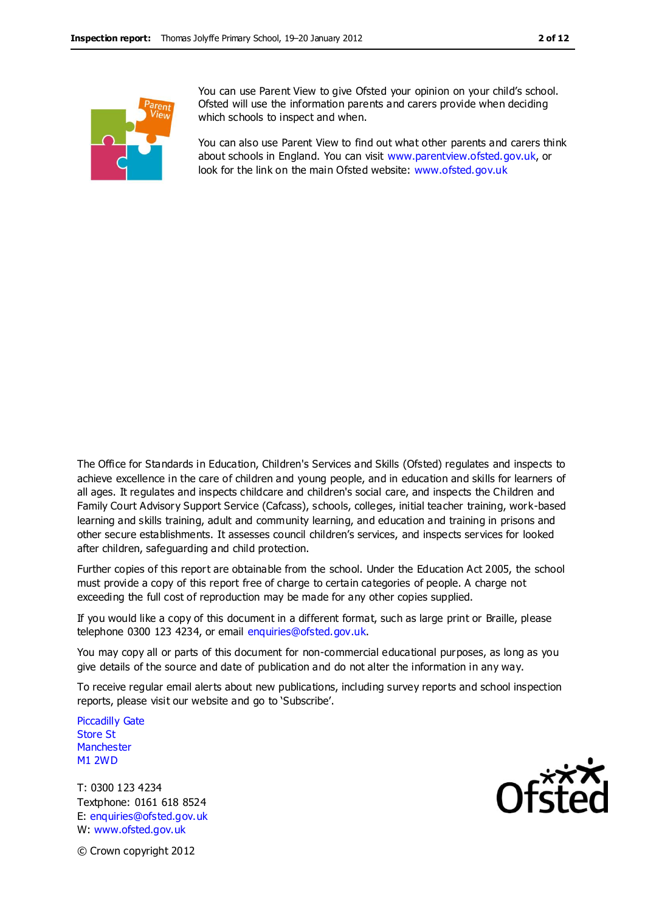

You can use Parent View to give Ofsted your opinion on your child's school. Ofsted will use the information parents and carers provide when deciding which schools to inspect and when.

You can also use Parent View to find out what other parents and carers think about schools in England. You can visit [www.parentview.ofsted.gov.uk,](http://www.parentview.ofsted.gov.uk/) or look for the link on the main Ofsted website: [www.ofsted.gov.uk](http://www.ofsted.gov.uk/)

The Office for Standards in Education, Children's Services and Skills (Ofsted) regulates and inspects to achieve excellence in the care of children and young people, and in education and skills for learners of all ages. It regulates and inspects childcare and children's social care, and inspects the Children and Family Court Advisory Support Service (Cafcass), schools, colleges, initial teacher training, work-based learning and skills training, adult and community learning, and education and training in prisons and other secure establishments. It assesses council children's services, and inspects services for looked after children, safeguarding and child protection.

Further copies of this report are obtainable from the school. Under the Education Act 2005, the school must provide a copy of this report free of charge to certain categories of people. A charge not exceeding the full cost of reproduction may be made for any other copies supplied.

If you would like a copy of this document in a different format, such as large print or Braille, please telephone 0300 123 4234, or email enquiries@ofsted.gov.uk.

You may copy all or parts of this document for non-commercial educational purposes, as long as you give details of the source and date of publication and do not alter the information in any way.

To receive regular email alerts about new publications, including survey reports and school inspection reports, please visit our website and go to 'Subscribe'.

Piccadilly Gate Store St **Manchester** M1 2WD

T: 0300 123 4234 Textphone: 0161 618 8524 E: enquiries@ofsted.gov.uk W: www.ofsted.gov.uk



© Crown copyright 2012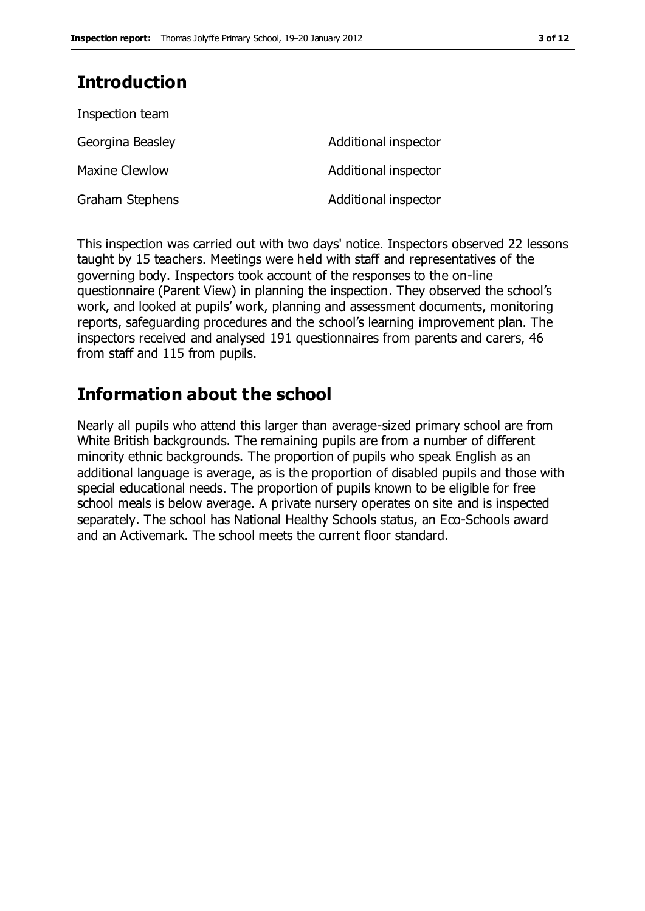## **Introduction**

| Inspection team       |                      |
|-----------------------|----------------------|
| Georgina Beasley      | Additional inspector |
| <b>Maxine Clewlow</b> | Additional inspector |
| Graham Stephens       | Additional inspector |

This inspection was carried out with two days' notice. Inspectors observed 22 lessons taught by 15 teachers. Meetings were held with staff and representatives of the governing body. Inspectors took account of the responses to the on-line questionnaire (Parent View) in planning the inspection. They observed the school's work, and looked at pupils' work, planning and assessment documents, monitoring reports, safeguarding procedures and the school's learning improvement plan. The inspectors received and analysed 191 questionnaires from parents and carers, 46 from staff and 115 from pupils.

## **Information about the school**

Nearly all pupils who attend this larger than average-sized primary school are from White British backgrounds. The remaining pupils are from a number of different minority ethnic backgrounds. The proportion of pupils who speak English as an additional language is average, as is the proportion of disabled pupils and those with special educational needs. The proportion of pupils known to be eligible for free school meals is below average. A private nursery operates on site and is inspected separately. The school has National Healthy Schools status, an Eco-Schools award and an Activemark. The school meets the current floor standard.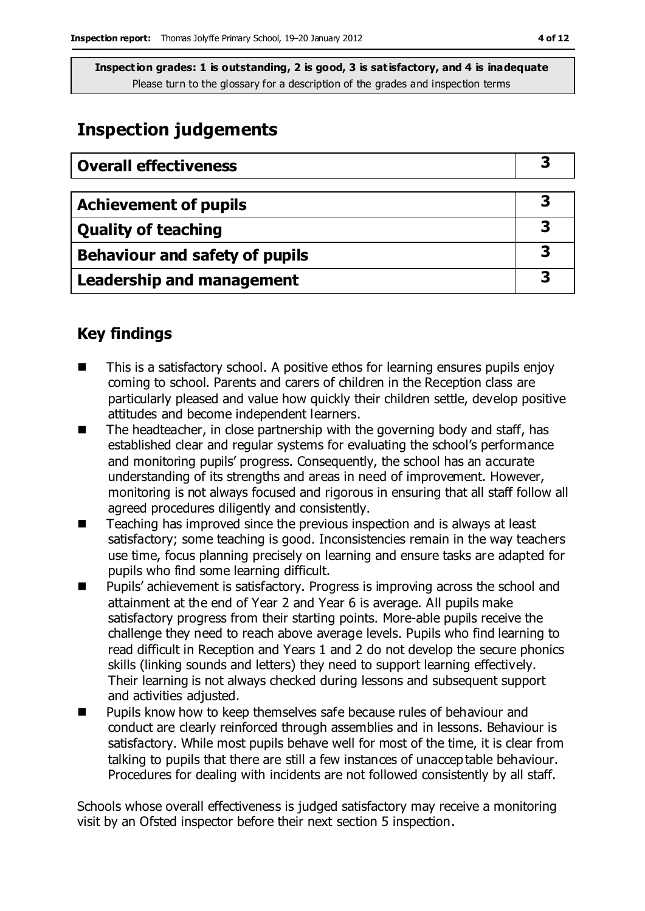## **Inspection judgements**

| <b>Overall effectiveness</b>          |   |
|---------------------------------------|---|
|                                       |   |
| <b>Achievement of pupils</b>          | З |
| <b>Quality of teaching</b>            | З |
| <b>Behaviour and safety of pupils</b> | 3 |
| Leadership and management             | 3 |

## **Key findings**

- This is a satisfactory school. A positive ethos for learning ensures pupils enjoy coming to school. Parents and carers of children in the Reception class are particularly pleased and value how quickly their children settle, develop positive attitudes and become independent learners.
- $\blacksquare$  The headteacher, in close partnership with the governing body and staff, has established clear and regular systems for evaluating the school's performance and monitoring pupils' progress. Consequently, the school has an accurate understanding of its strengths and areas in need of improvement. However, monitoring is not always focused and rigorous in ensuring that all staff follow all agreed procedures diligently and consistently.
- Teaching has improved since the previous inspection and is always at least satisfactory; some teaching is good. Inconsistencies remain in the way teachers use time, focus planning precisely on learning and ensure tasks are adapted for pupils who find some learning difficult.
- Pupils' achievement is satisfactory. Progress is improving across the school and attainment at the end of Year 2 and Year 6 is average. All pupils make satisfactory progress from their starting points. More-able pupils receive the challenge they need to reach above average levels. Pupils who find learning to read difficult in Reception and Years 1 and 2 do not develop the secure phonics skills (linking sounds and letters) they need to support learning effectively. Their learning is not always checked during lessons and subsequent support and activities adjusted.
- **Pupils know how to keep themselves safe because rules of behaviour and** conduct are clearly reinforced through assemblies and in lessons. Behaviour is satisfactory. While most pupils behave well for most of the time, it is clear from talking to pupils that there are still a few instances of unacceptable behaviour. Procedures for dealing with incidents are not followed consistently by all staff.

Schools whose overall effectiveness is judged satisfactory may receive a monitoring visit by an Ofsted inspector before their next section 5 inspection.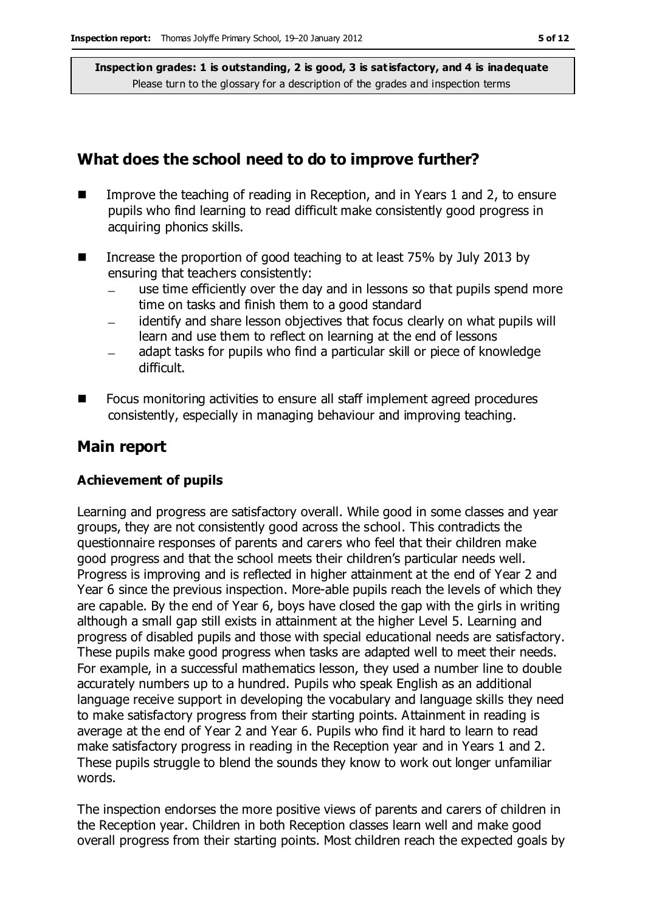## **What does the school need to do to improve further?**

- Improve the teaching of reading in Reception, and in Years 1 and 2, to ensure pupils who find learning to read difficult make consistently good progress in acquiring phonics skills.
- Increase the proportion of good teaching to at least 75% by July 2013 by ensuring that teachers consistently:
	- use time efficiently over the day and in lessons so that pupils spend more time on tasks and finish them to a good standard
	- identify and share lesson objectives that focus clearly on what pupils will learn and use them to reflect on learning at the end of lessons
	- adapt tasks for pupils who find a particular skill or piece of knowledge difficult.
- Focus monitoring activities to ensure all staff implement agreed procedures consistently, especially in managing behaviour and improving teaching.

## **Main report**

### **Achievement of pupils**

Learning and progress are satisfactory overall. While good in some classes and year groups, they are not consistently good across the school. This contradicts the questionnaire responses of parents and carers who feel that their children make good progress and that the school meets their children's particular needs well. Progress is improving and is reflected in higher attainment at the end of Year 2 and Year 6 since the previous inspection. More-able pupils reach the levels of which they are capable. By the end of Year 6, boys have closed the gap with the girls in writing although a small gap still exists in attainment at the higher Level 5. Learning and progress of disabled pupils and those with special educational needs are satisfactory. These pupils make good progress when tasks are adapted well to meet their needs. For example, in a successful mathematics lesson, they used a number line to double accurately numbers up to a hundred. Pupils who speak English as an additional language receive support in developing the vocabulary and language skills they need to make satisfactory progress from their starting points. Attainment in reading is average at the end of Year 2 and Year 6. Pupils who find it hard to learn to read make satisfactory progress in reading in the Reception year and in Years 1 and 2. These pupils struggle to blend the sounds they know to work out longer unfamiliar words.

The inspection endorses the more positive views of parents and carers of children in the Reception year. Children in both Reception classes learn well and make good overall progress from their starting points. Most children reach the expected goals by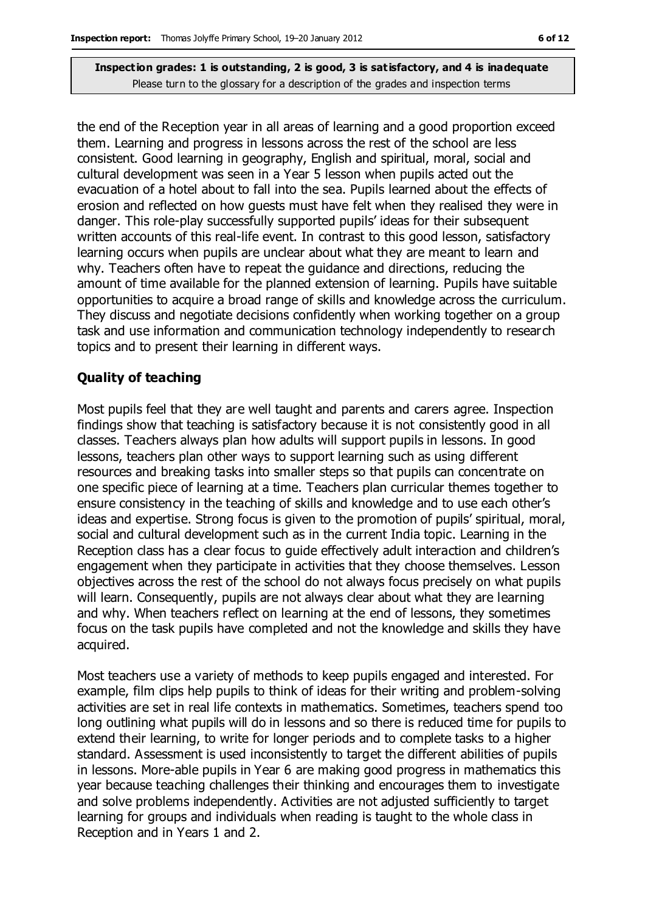the end of the Reception year in all areas of learning and a good proportion exceed them. Learning and progress in lessons across the rest of the school are less consistent. Good learning in geography, English and spiritual, moral, social and cultural development was seen in a Year 5 lesson when pupils acted out the evacuation of a hotel about to fall into the sea. Pupils learned about the effects of erosion and reflected on how guests must have felt when they realised they were in danger. This role-play successfully supported pupils' ideas for their subsequent written accounts of this real-life event. In contrast to this good lesson, satisfactory learning occurs when pupils are unclear about what they are meant to learn and why. Teachers often have to repeat the guidance and directions, reducing the amount of time available for the planned extension of learning. Pupils have suitable opportunities to acquire a broad range of skills and knowledge across the curriculum. They discuss and negotiate decisions confidently when working together on a group task and use information and communication technology independently to research topics and to present their learning in different ways.

### **Quality of teaching**

Most pupils feel that they are well taught and parents and carers agree. Inspection findings show that teaching is satisfactory because it is not consistently good in all classes. Teachers always plan how adults will support pupils in lessons. In good lessons, teachers plan other ways to support learning such as using different resources and breaking tasks into smaller steps so that pupils can concentrate on one specific piece of learning at a time. Teachers plan curricular themes together to ensure consistency in the teaching of skills and knowledge and to use each other's ideas and expertise. Strong focus is given to the promotion of pupils' spiritual, moral, social and cultural development such as in the current India topic. Learning in the Reception class has a clear focus to guide effectively adult interaction and children's engagement when they participate in activities that they choose themselves. Lesson objectives across the rest of the school do not always focus precisely on what pupils will learn. Consequently, pupils are not always clear about what they are learning and why. When teachers reflect on learning at the end of lessons, they sometimes focus on the task pupils have completed and not the knowledge and skills they have acquired.

Most teachers use a variety of methods to keep pupils engaged and interested. For example, film clips help pupils to think of ideas for their writing and problem-solving activities are set in real life contexts in mathematics. Sometimes, teachers spend too long outlining what pupils will do in lessons and so there is reduced time for pupils to extend their learning, to write for longer periods and to complete tasks to a higher standard. Assessment is used inconsistently to target the different abilities of pupils in lessons. More-able pupils in Year 6 are making good progress in mathematics this year because teaching challenges their thinking and encourages them to investigate and solve problems independently. Activities are not adjusted sufficiently to target learning for groups and individuals when reading is taught to the whole class in Reception and in Years 1 and 2.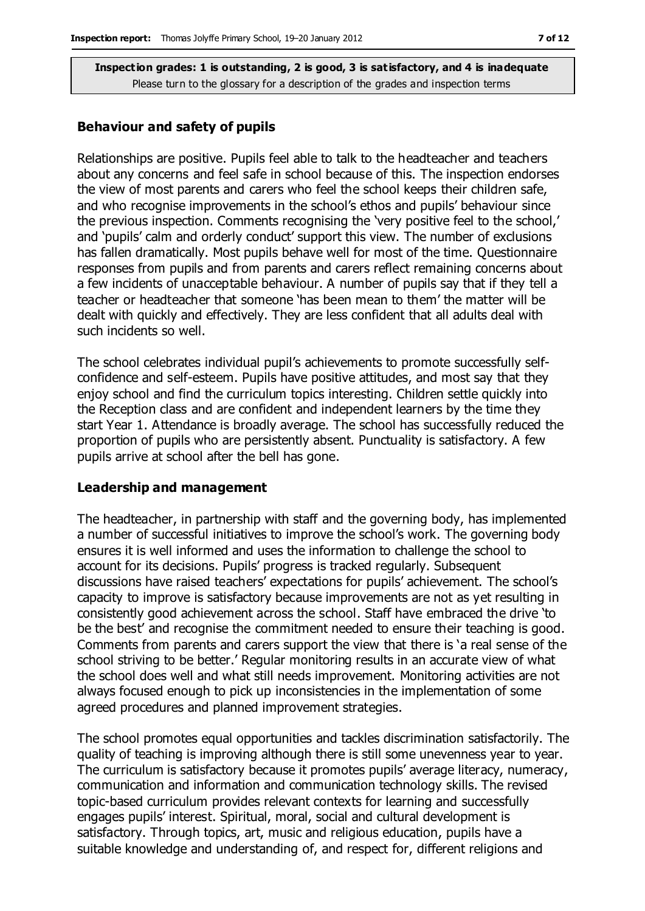#### **Behaviour and safety of pupils**

Relationships are positive. Pupils feel able to talk to the headteacher and teachers about any concerns and feel safe in school because of this. The inspection endorses the view of most parents and carers who feel the school keeps their children safe, and who recognise improvements in the school's ethos and pupils' behaviour since the previous inspection. Comments recognising the 'very positive feel to the school,' and 'pupils' calm and orderly conduct' support this view. The number of exclusions has fallen dramatically. Most pupils behave well for most of the time. Questionnaire responses from pupils and from parents and carers reflect remaining concerns about a few incidents of unacceptable behaviour. A number of pupils say that if they tell a teacher or headteacher that someone 'has been mean to them' the matter will be dealt with quickly and effectively. They are less confident that all adults deal with such incidents so well.

The school celebrates individual pupil's achievements to promote successfully selfconfidence and self-esteem. Pupils have positive attitudes, and most say that they enjoy school and find the curriculum topics interesting. Children settle quickly into the Reception class and are confident and independent learners by the time they start Year 1. Attendance is broadly average. The school has successfully reduced the proportion of pupils who are persistently absent. Punctuality is satisfactory. A few pupils arrive at school after the bell has gone.

#### **Leadership and management**

The headteacher, in partnership with staff and the governing body, has implemented a number of successful initiatives to improve the school's work. The governing body ensures it is well informed and uses the information to challenge the school to account for its decisions. Pupils' progress is tracked regularly. Subsequent discussions have raised teachers' expectations for pupils' achievement. The school's capacity to improve is satisfactory because improvements are not as yet resulting in consistently good achievement across the school. Staff have embraced the drive 'to be the best' and recognise the commitment needed to ensure their teaching is good. Comments from parents and carers support the view that there is 'a real sense of the school striving to be better.' Regular monitoring results in an accurate view of what the school does well and what still needs improvement. Monitoring activities are not always focused enough to pick up inconsistencies in the implementation of some agreed procedures and planned improvement strategies.

The school promotes equal opportunities and tackles discrimination satisfactorily. The quality of teaching is improving although there is still some unevenness year to year. The curriculum is satisfactory because it promotes pupils' average literacy, numeracy, communication and information and communication technology skills. The revised topic-based curriculum provides relevant contexts for learning and successfully engages pupils' interest. Spiritual, moral, social and cultural development is satisfactory. Through topics, art, music and religious education, pupils have a suitable knowledge and understanding of, and respect for, different religions and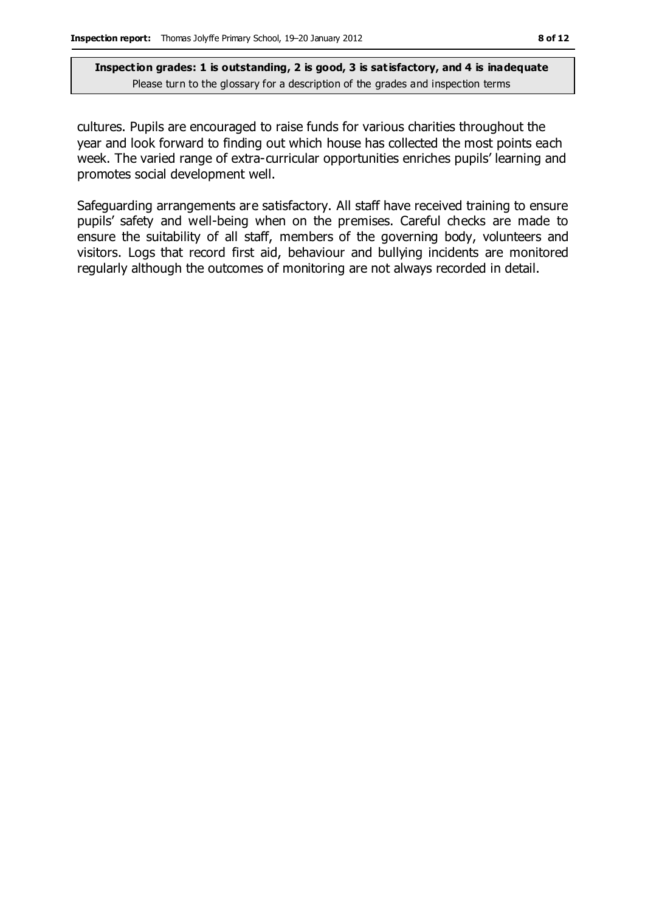cultures. Pupils are encouraged to raise funds for various charities throughout the year and look forward to finding out which house has collected the most points each week. The varied range of extra-curricular opportunities enriches pupils' learning and promotes social development well.

Safeguarding arrangements are satisfactory. All staff have received training to ensure pupils' safety and well-being when on the premises. Careful checks are made to ensure the suitability of all staff, members of the governing body, volunteers and visitors. Logs that record first aid, behaviour and bullying incidents are monitored regularly although the outcomes of monitoring are not always recorded in detail.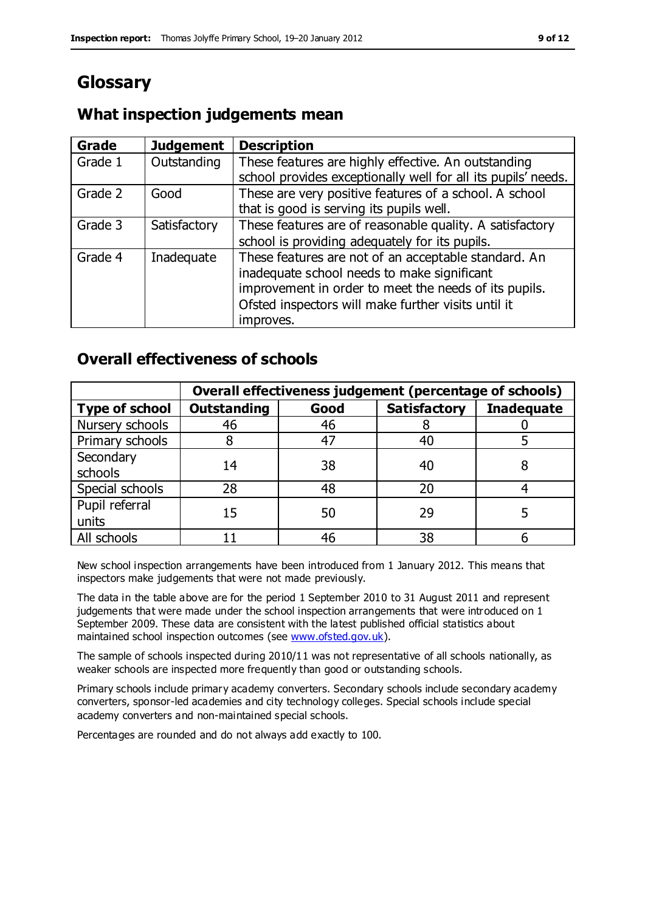## **Glossary**

## **What inspection judgements mean**

| <b>Grade</b> | <b>Judgement</b> | <b>Description</b>                                            |
|--------------|------------------|---------------------------------------------------------------|
| Grade 1      | Outstanding      | These features are highly effective. An outstanding           |
|              |                  | school provides exceptionally well for all its pupils' needs. |
| Grade 2      | Good             | These are very positive features of a school. A school        |
|              |                  | that is good is serving its pupils well.                      |
| Grade 3      | Satisfactory     | These features are of reasonable quality. A satisfactory      |
|              |                  | school is providing adequately for its pupils.                |
| Grade 4      | Inadequate       | These features are not of an acceptable standard. An          |
|              |                  | inadequate school needs to make significant                   |
|              |                  | improvement in order to meet the needs of its pupils.         |
|              |                  | Ofsted inspectors will make further visits until it           |
|              |                  | improves.                                                     |

## **Overall effectiveness of schools**

|                         | Overall effectiveness judgement (percentage of schools) |      |                     |                   |
|-------------------------|---------------------------------------------------------|------|---------------------|-------------------|
| <b>Type of school</b>   | <b>Outstanding</b>                                      | Good | <b>Satisfactory</b> | <b>Inadequate</b> |
| Nursery schools         | 46                                                      | 46   |                     |                   |
| Primary schools         |                                                         | 47   | 40                  |                   |
| Secondary<br>schools    | 14                                                      | 38   | 40                  |                   |
| Special schools         | 28                                                      | 48   | 20                  |                   |
| Pupil referral<br>units | 15                                                      | 50   | 29                  |                   |
| All schools             |                                                         | 46   | 38                  |                   |

New school inspection arrangements have been introduced from 1 January 2012. This means that inspectors make judgements that were not made previously.

The data in the table above are for the period 1 September 2010 to 31 August 2011 and represent judgements that were made under the school inspection arrangements that were introduced on 1 September 2009. These data are consistent with the latest published official statistics about maintained school inspection outcomes (see [www.ofsted.gov.uk\)](http://www.ofsted.gov.uk/).

The sample of schools inspected during 2010/11 was not representative of all schools nationally, as weaker schools are inspected more frequently than good or outstanding schools.

Primary schools include primary academy converters. Secondary schools include secondary academy converters, sponsor-led academies and city technology colleges. Special schools include special academy converters and non-maintained special schools.

Percentages are rounded and do not always add exactly to 100.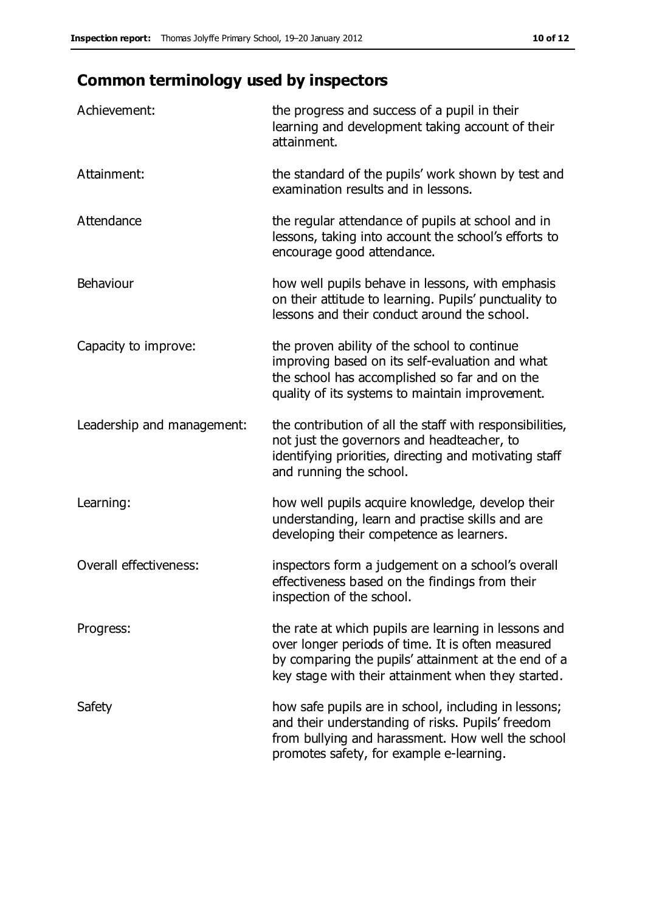## **Common terminology used by inspectors**

| Achievement:                  | the progress and success of a pupil in their<br>learning and development taking account of their<br>attainment.                                                                                                        |
|-------------------------------|------------------------------------------------------------------------------------------------------------------------------------------------------------------------------------------------------------------------|
| Attainment:                   | the standard of the pupils' work shown by test and<br>examination results and in lessons.                                                                                                                              |
| Attendance                    | the regular attendance of pupils at school and in<br>lessons, taking into account the school's efforts to<br>encourage good attendance.                                                                                |
| Behaviour                     | how well pupils behave in lessons, with emphasis<br>on their attitude to learning. Pupils' punctuality to<br>lessons and their conduct around the school.                                                              |
| Capacity to improve:          | the proven ability of the school to continue<br>improving based on its self-evaluation and what<br>the school has accomplished so far and on the<br>quality of its systems to maintain improvement.                    |
| Leadership and management:    | the contribution of all the staff with responsibilities,<br>not just the governors and headteacher, to<br>identifying priorities, directing and motivating staff<br>and running the school.                            |
| Learning:                     | how well pupils acquire knowledge, develop their<br>understanding, learn and practise skills and are<br>developing their competence as learners.                                                                       |
| <b>Overall effectiveness:</b> | inspectors form a judgement on a school's overall<br>effectiveness based on the findings from their<br>inspection of the school.                                                                                       |
| Progress:                     | the rate at which pupils are learning in lessons and<br>over longer periods of time. It is often measured<br>by comparing the pupils' attainment at the end of a<br>key stage with their attainment when they started. |
| Safety                        | how safe pupils are in school, including in lessons;<br>and their understanding of risks. Pupils' freedom<br>from bullying and harassment. How well the school<br>promotes safety, for example e-learning.             |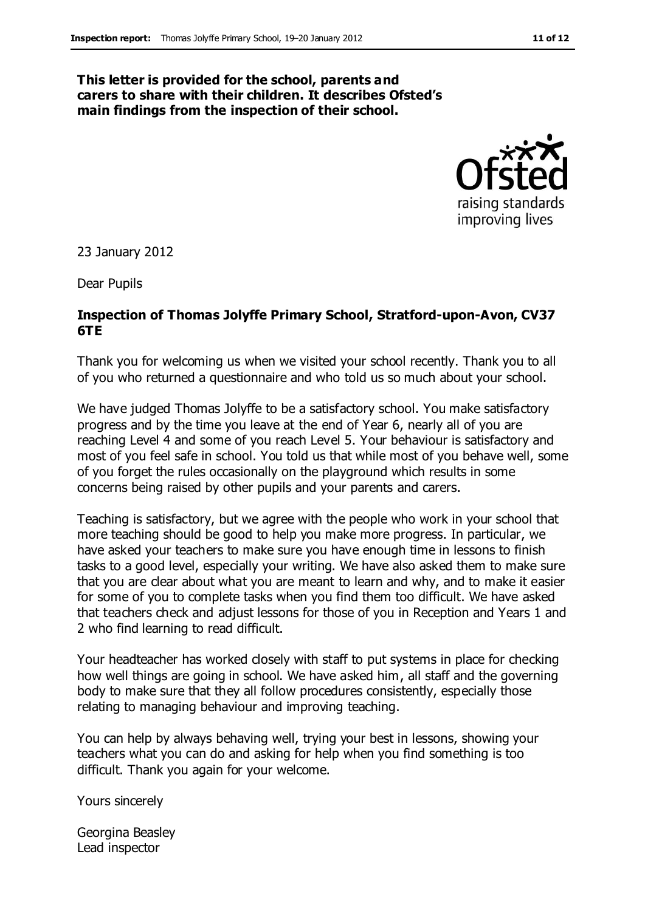#### **This letter is provided for the school, parents and carers to share with their children. It describes Ofsted's main findings from the inspection of their school.**



23 January 2012

Dear Pupils

### **Inspection of Thomas Jolyffe Primary School, Stratford-upon-Avon, CV37 6TE**

Thank you for welcoming us when we visited your school recently. Thank you to all of you who returned a questionnaire and who told us so much about your school.

We have judged Thomas Jolyffe to be a satisfactory school. You make satisfactory progress and by the time you leave at the end of Year 6, nearly all of you are reaching Level 4 and some of you reach Level 5. Your behaviour is satisfactory and most of you feel safe in school. You told us that while most of you behave well, some of you forget the rules occasionally on the playground which results in some concerns being raised by other pupils and your parents and carers.

Teaching is satisfactory, but we agree with the people who work in your school that more teaching should be good to help you make more progress. In particular, we have asked your teachers to make sure you have enough time in lessons to finish tasks to a good level, especially your writing. We have also asked them to make sure that you are clear about what you are meant to learn and why, and to make it easier for some of you to complete tasks when you find them too difficult. We have asked that teachers check and adjust lessons for those of you in Reception and Years 1 and 2 who find learning to read difficult.

Your headteacher has worked closely with staff to put systems in place for checking how well things are going in school. We have asked him, all staff and the governing body to make sure that they all follow procedures consistently, especially those relating to managing behaviour and improving teaching.

You can help by always behaving well, trying your best in lessons, showing your teachers what you can do and asking for help when you find something is too difficult. Thank you again for your welcome.

Yours sincerely

Georgina Beasley Lead inspector